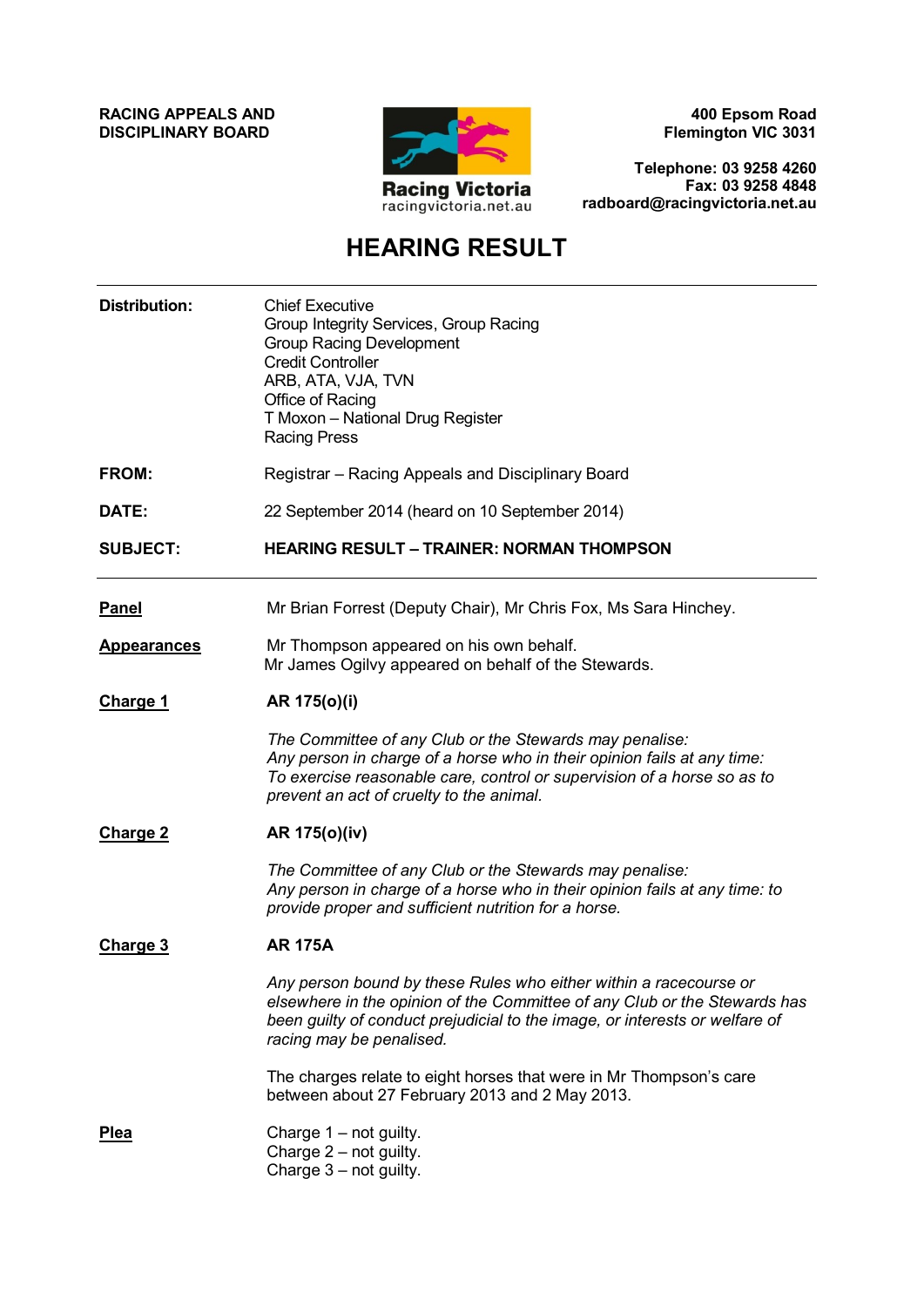**RACING APPEALS AND DISCIPLINARY BOARD**



**400 Epsom Road Flemington VIC 3031**

**Telephone: 03 9258 4260 Fax: 03 9258 4848 radboard@racingvictoria.net.au**

# **HEARING RESULT**

| <b>Distribution:</b> | <b>Chief Executive</b><br>Group Integrity Services, Group Racing<br><b>Group Racing Development</b><br><b>Credit Controller</b><br>ARB, ATA, VJA, TVN<br>Office of Racing<br>T Moxon - National Drug Register<br><b>Racing Press</b>                      |  |  |
|----------------------|-----------------------------------------------------------------------------------------------------------------------------------------------------------------------------------------------------------------------------------------------------------|--|--|
| FROM:                | Registrar - Racing Appeals and Disciplinary Board                                                                                                                                                                                                         |  |  |
| DATE:                | 22 September 2014 (heard on 10 September 2014)                                                                                                                                                                                                            |  |  |
| <b>SUBJECT:</b>      | <b>HEARING RESULT - TRAINER: NORMAN THOMPSON</b>                                                                                                                                                                                                          |  |  |
| Panel                | Mr Brian Forrest (Deputy Chair), Mr Chris Fox, Ms Sara Hinchey.                                                                                                                                                                                           |  |  |
| <b>Appearances</b>   | Mr Thompson appeared on his own behalf.<br>Mr James Ogilvy appeared on behalf of the Stewards.                                                                                                                                                            |  |  |
| <b>Charge 1</b>      | AR 175(0)(i)                                                                                                                                                                                                                                              |  |  |
|                      | The Committee of any Club or the Stewards may penalise:<br>Any person in charge of a horse who in their opinion fails at any time:<br>To exercise reasonable care, control or supervision of a horse so as to<br>prevent an act of cruelty to the animal. |  |  |
| <b>Charge 2</b>      | AR 175(0)(iv)                                                                                                                                                                                                                                             |  |  |
|                      | The Committee of any Club or the Stewards may penalise:<br>Any person in charge of a horse who in their opinion fails at any time: to<br>provide proper and sufficient nutrition for a horse.                                                             |  |  |
| Charge 3             | <b>AR 175A</b>                                                                                                                                                                                                                                            |  |  |
|                      | Any person bound by these Rules who either within a racecourse or<br>elsewhere in the opinion of the Committee of any Club or the Stewards has<br>been guilty of conduct prejudicial to the image, or interests or welfare of<br>racing may be penalised. |  |  |
|                      | The charges relate to eight horses that were in Mr Thompson's care<br>between about 27 February 2013 and 2 May 2013.                                                                                                                                      |  |  |
| <b>Plea</b>          | Charge 1 - not guilty.<br>Charge $2$ – not guilty.<br>Charge $3 - not$ guilty.                                                                                                                                                                            |  |  |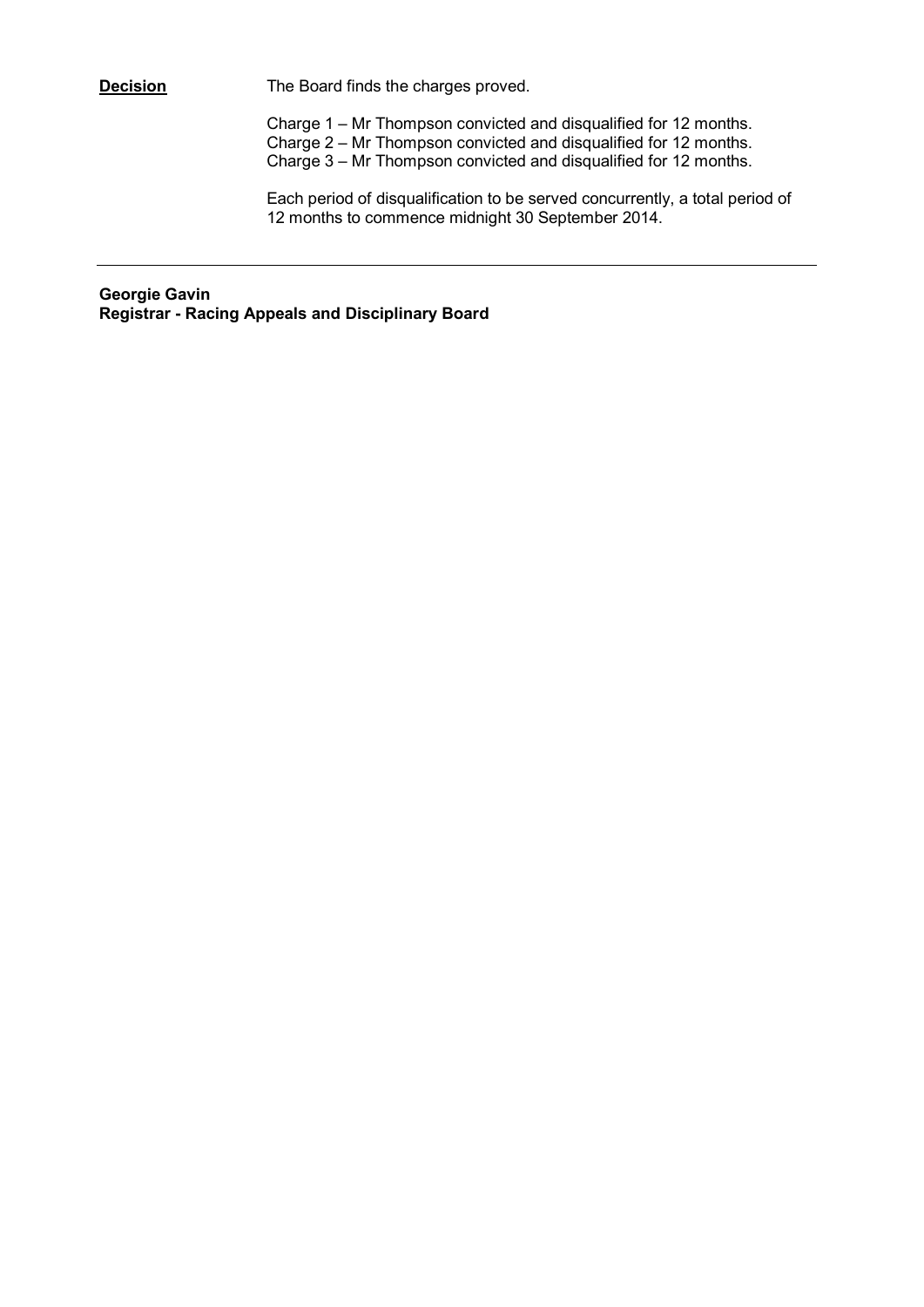**Decision** The Board finds the charges proved.

Charge 1 – Mr Thompson convicted and disqualified for 12 months. Charge 2 – Mr Thompson convicted and disqualified for 12 months. Charge 3 – Mr Thompson convicted and disqualified for 12 months.

Each period of disqualification to be served concurrently, a total period of 12 months to commence midnight 30 September 2014.

**Georgie Gavin Registrar - Racing Appeals and Disciplinary Board**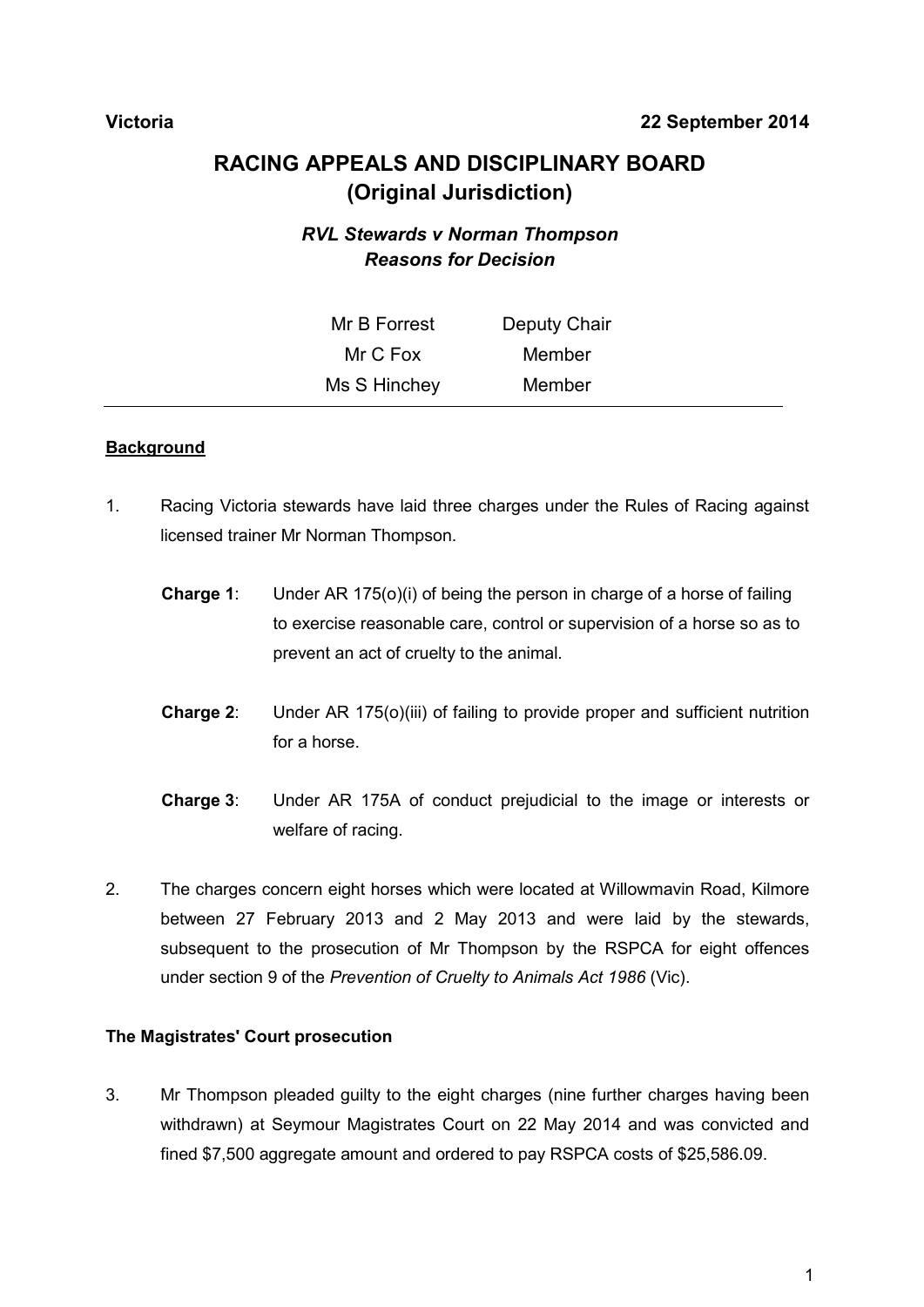## **Victoria 22 September 2014**

# **RACING APPEALS AND DISCIPLINARY BOARD (Original Jurisdiction)**

# *RVL Stewards v Norman Thompson Reasons for Decision*

| Mr B Forrest | Deputy Chair |  |
|--------------|--------------|--|
| Mr C Fox     | Member       |  |
| Ms S Hinchey | Member       |  |

#### **Background**

- 1. Racing Victoria stewards have laid three charges under the Rules of Racing against licensed trainer Mr Norman Thompson.
	- **Charge 1**: Under AR 175(o)(i) of being the person in charge of a horse of failing to exercise reasonable care, control or supervision of a horse so as to prevent an act of cruelty to the animal.
	- **Charge 2**: Under AR 175(o)(iii) of failing to provide proper and sufficient nutrition for a horse.
	- **Charge 3**: Under AR 175A of conduct prejudicial to the image or interests or welfare of racing.
- 2. The charges concern eight horses which were located at Willowmavin Road, Kilmore between 27 February 2013 and 2 May 2013 and were laid by the stewards, subsequent to the prosecution of Mr Thompson by the RSPCA for eight offences under section 9 of the *Prevention of Cruelty to Animals Act 1986* (Vic).

#### **The Magistrates' Court prosecution**

3. Mr Thompson pleaded guilty to the eight charges (nine further charges having been withdrawn) at Seymour Magistrates Court on 22 May 2014 and was convicted and fined \$7,500 aggregate amount and ordered to pay RSPCA costs of \$25,586.09.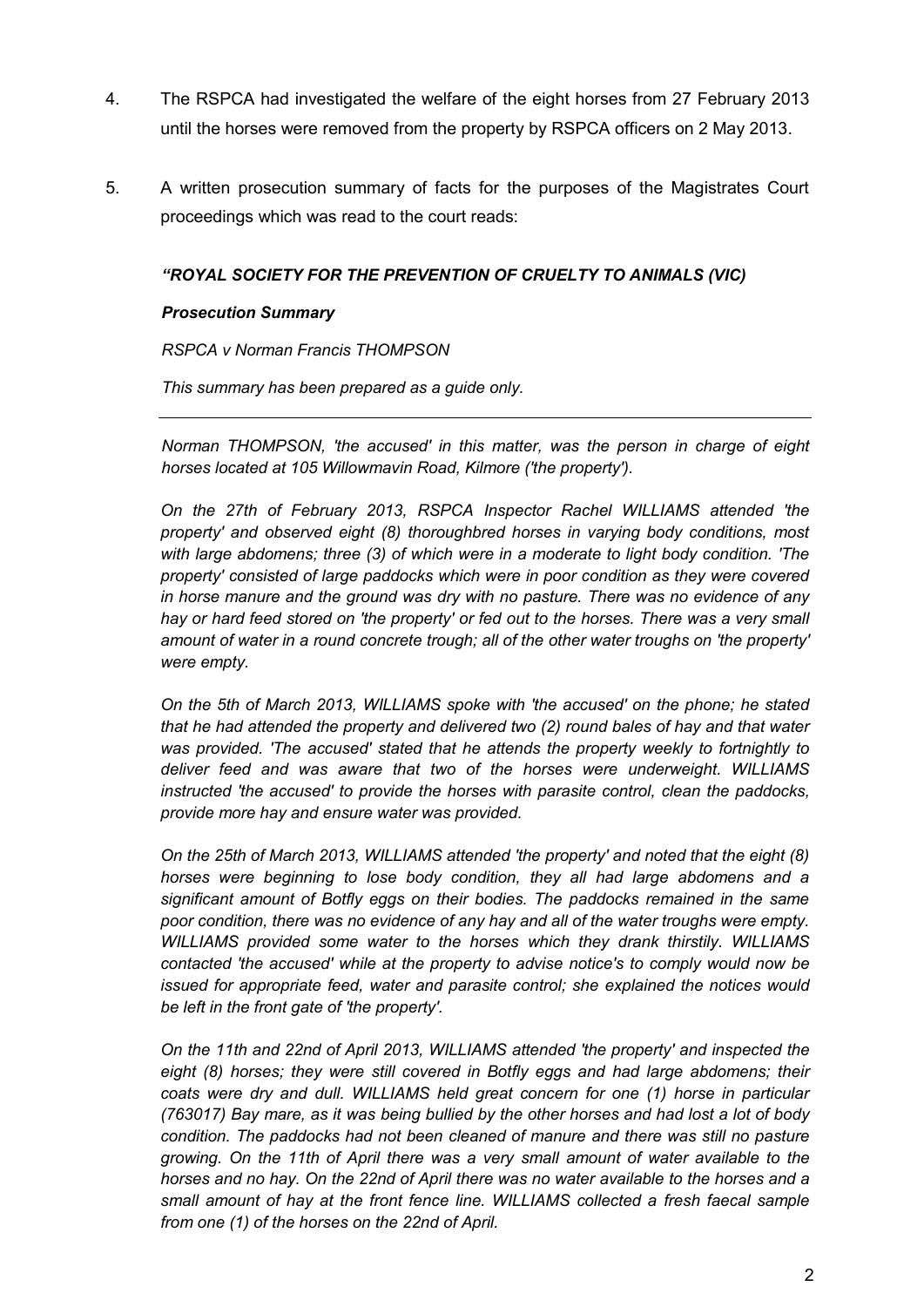- 4. The RSPCA had investigated the welfare of the eight horses from 27 February 2013 until the horses were removed from the property by RSPCA officers on 2 May 2013.
- 5. A written prosecution summary of facts for the purposes of the Magistrates Court proceedings which was read to the court reads:

#### *"ROYAL SOCIETY FOR THE PREVENTION OF CRUELTY TO ANIMALS (VIC)*

#### *Prosecution Summary*

**RSPCA v Norman Francis THOMPSON** 

*This summary has been prepared as a guide only.*

*Norman THOMPSON, 'the accused' in this matter, was the person in charge of eight horses located at 105 Willowmavin Road, Kilmore ('the property').*

*On the 27th of February 2013, RSPCA Inspector Rachel WILLIAMS attended 'the property' and observed eight (8) thoroughbred horses in varying body conditions, most with large abdomens; three (3) of which were in a moderate to light body condition. 'The property' consisted of large paddocks which were in poor condition as they were covered in horse manure and the ground was dry with no pasture. There was no evidence of any hay or hard feed stored on 'the property' or fed out to the horses. There was a very small amount of water in a round concrete trough; all of the other water troughs on 'the property' were empty.*

*On the 5th of March 2013, WILLIAMS spoke with 'the accused' on the phone; he stated that he had attended the property and delivered two (2) round bales of hay and that water was provided. 'The accused' stated that he attends the property weekly to fortnightly to deliver feed and was aware that two of the horses were underweight. WILLIAMS instructed 'the accused' to provide the horses with parasite control, clean the paddocks, provide more hay and ensure water was provided.*

*On the 25th of March 2013, WILLIAMS attended 'the property' and noted that the eight (8) horses were beginning to lose body condition, they all had large abdomens and a significant amount of Botfly eggs on their bodies. The paddocks remained in the same poor condition, there was no evidence of any hay and all of the water troughs were empty. WILLIAMS provided some water to the horses which they drank thirstily. WILLIAMS contacted 'the accused' while at the property to advise notice's to comply would now be issued for appropriate feed, water and parasite control; she explained the notices would be left in the front gate of 'the property'.*

*On the 11th and 22nd of April 2013, WILLIAMS attended 'the property' and inspected the eight (8) horses; they were still covered in Botfly eggs and had large abdomens; their coats were dry and dull. WILLIAMS held great concern for one (1) horse in particular (763017) Bay mare, as it was being bullied by the other horses and had lost a lot of body condition. The paddocks had not been cleaned of manure and there was still no pasture growing. On the 11th of April there was a very small amount of water available to the horses and no hay. On the 22nd of April there was no water available to the horses and a small amount of hay at the front fence line. WILLIAMS collected a fresh faecal sample from one (1) of the horses on the 22nd of April.*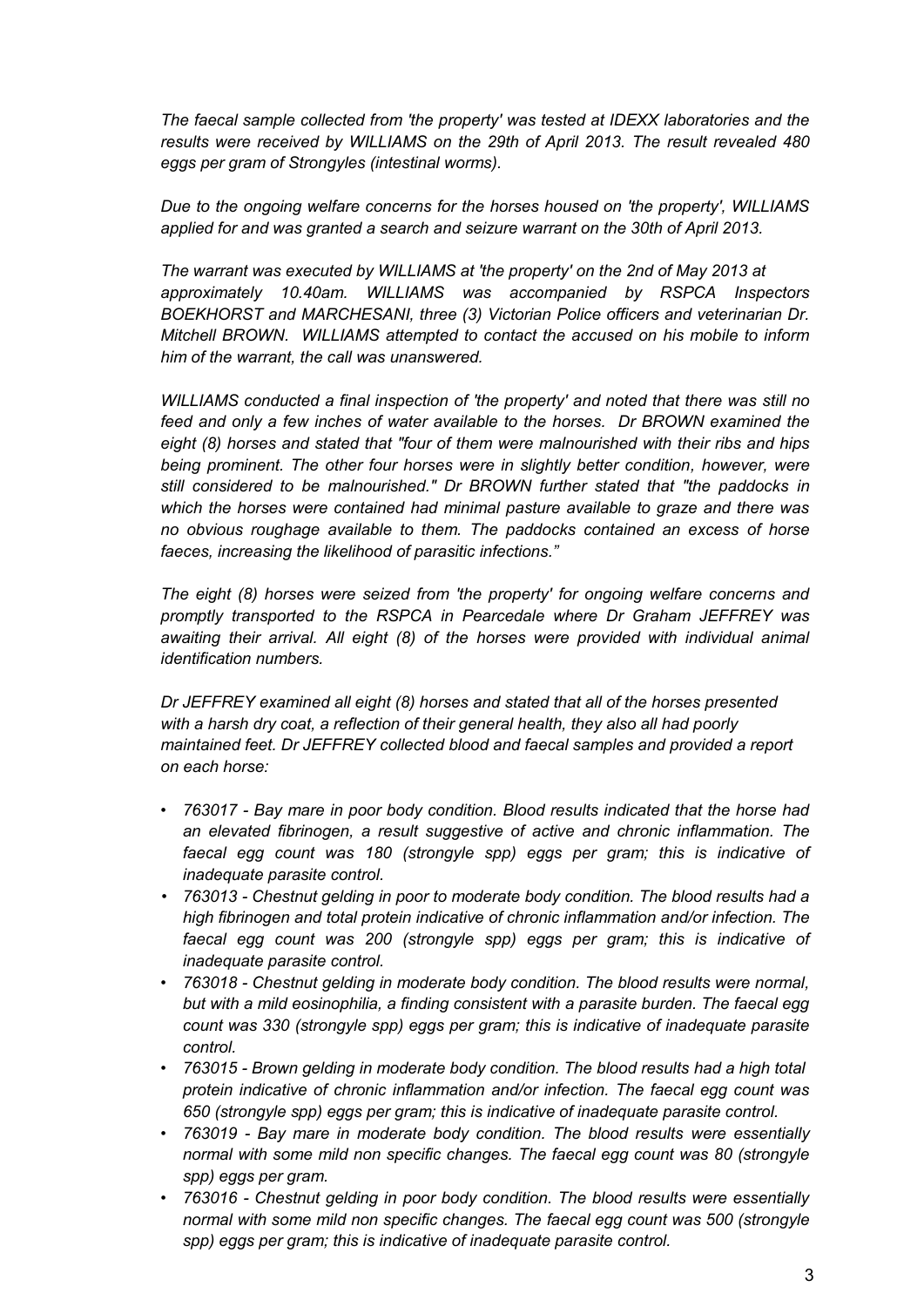*The faecal sample collected from 'the property' was tested at IDEXX laboratories and the results were received by WILLIAMS on the 29th of April 2013. The result revealed 480 eggs per gram of Strongyles (intestinal worms).*

*Due to the ongoing welfare concerns for the horses housed on 'the property', WILLIAMS applied for and was granted a search and seizure warrant on the 30th of April 2013.*

*The warrant was executed by WILLIAMS at 'the property' on the 2nd of May 2013 at approximately 10.40am. WILLIAMS was accompanied by RSPCA Inspectors BOEKHORST and MARCHESANI, three (3) Victorian Police officers and veterinarian Dr. Mitchell BROWN. WILLIAMS attempted to contact the accused on his mobile to inform him of the warrant, the call was unanswered.*

*WILLIAMS conducted a final inspection of 'the property' and noted that there was still no feed and only a few inches of water available to the horses. Dr BROWN examined the eight (8) horses and stated that "four of them were malnourished with their ribs and hips being prominent. The other four horses were in slightly better condition, however, were still considered to be malnourished." Dr BROWN further stated that "the paddocks in which the horses were contained had minimal pasture available to graze and there was no obvious roughage available to them. The paddocks contained an excess of horse faeces, increasing the likelihood of parasitic infections."*

*The eight (8) horses were seized from 'the property' for ongoing welfare concerns and promptly transported to the RSPCA in Pearcedale where Dr Graham JEFFREY was awaiting their arrival. All eight (8) of the horses were provided with individual animal identification numbers.*

*Dr JEFFREY examined all eight (8) horses and stated that all of the horses presented with a harsh dry coat, a reflection of their general health, they also all had poorly maintained feet. Dr JEFFREY collected blood and faecal samples and provided a report on each horse:*

- *763017 - Bay mare in poor body condition. Blood results indicated that the horse had an elevated fibrinogen, a result suggestive of active and chronic inflammation. The faecal egg count was 180 (strongyle spp) eggs per gram; this is indicative of inadequate parasite control.*
- *763013 - Chestnut gelding in poor to moderate body condition. The blood results had a high fibrinogen and total protein indicative of chronic inflammation and/or infection. The faecal egg count was 200 (strongyle spp) eggs per gram; this is indicative of inadequate parasite control.*
- *763018 - Chestnut gelding in moderate body condition. The blood results were normal, but with a mild eosinophilia, a finding consistent with a parasite burden. The faecal egg count was 330 (strongyle spp) eggs per gram; this is indicative of inadequate parasite control.*
- *763015 - Brown gelding in moderate body condition. The blood results had a high total protein indicative of chronic inflammation and/or infection. The faecal egg count was 650 (strongyle spp) eggs per gram; this is indicative of inadequate parasite control.*
- *763019 - Bay mare in moderate body condition. The blood results were essentially normal with some mild non specific changes. The faecal egg count was 80 (strongyle spp) eggs per gram.*
- *763016 - Chestnut gelding in poor body condition. The blood results were essentially normal with some mild non specific changes. The faecal egg count was 500 (strongyle spp) eggs per gram; this is indicative of inadequate parasite control.*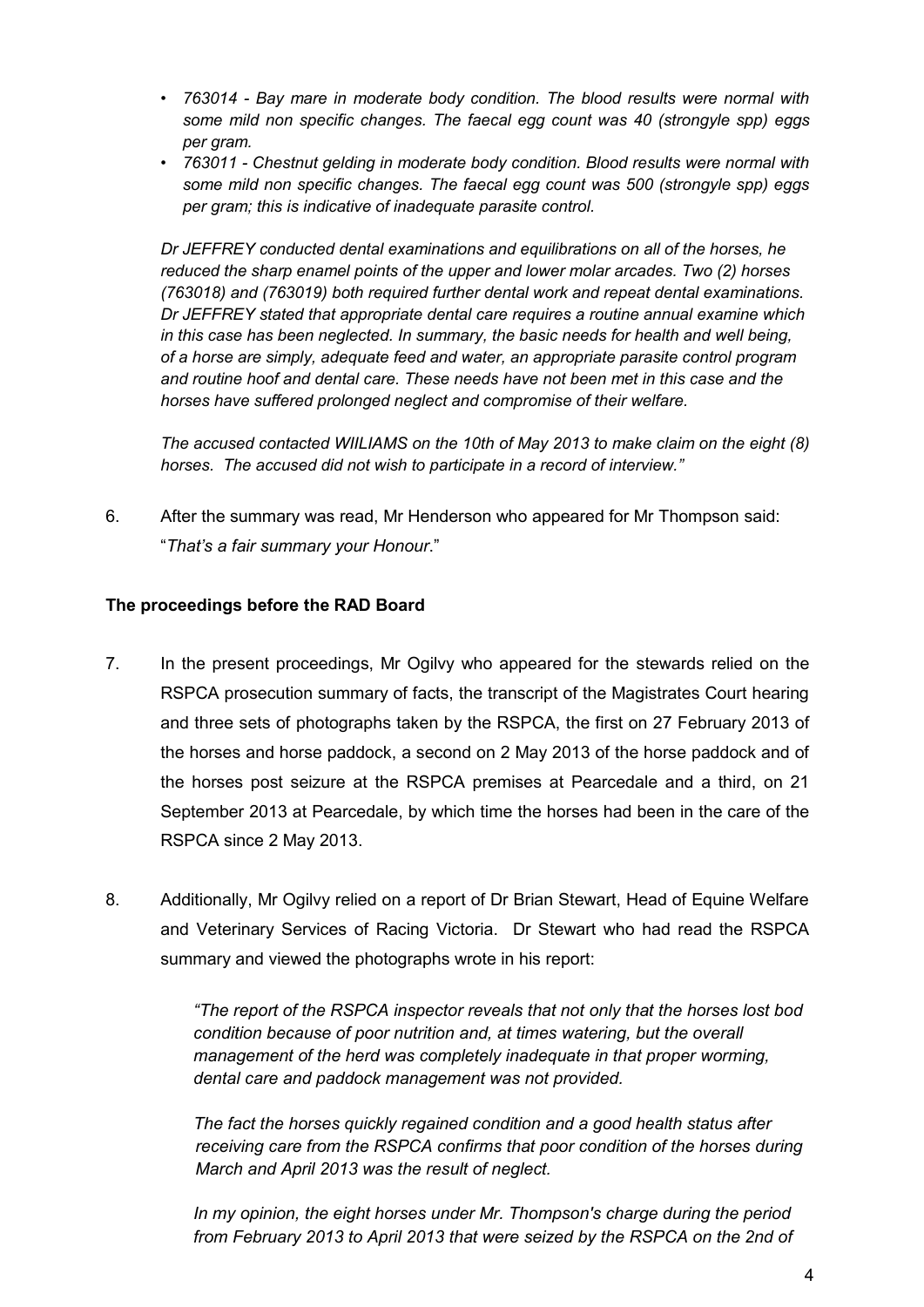- *763014 - Bay mare in moderate body condition. The blood results were normal with some mild non specific changes. The faecal egg count was 40 (strongyle spp) eggs per gram.*
- *763011 - Chestnut gelding in moderate body condition. Blood results were normal with some mild non specific changes. The faecal egg count was 500 (strongyle spp) eggs per gram; this is indicative of inadequate parasite control.*

*Dr JEFFREY conducted dental examinations and equilibrations on all of the horses, he reduced the sharp enamel points of the upper and lower molar arcades. Two (2) horses (763018) and (763019) both required further dental work and repeat dental examinations. Dr JEFFREY stated that appropriate dental care requires a routine annual examine which in this case has been neglected. In summary, the basic needs for health and well being, of a horse are simply, adequate feed and water, an appropriate parasite control program and routine hoof and dental care. These needs have not been met in this case and the horses have suffered prolonged neglect and compromise of their welfare.*

*The accused contacted WIILIAMS on the 10th of May 2013 to make claim on the eight (8) horses. The accused did not wish to participate in a record of interview."*

6. After the summary was read, Mr Henderson who appeared for Mr Thompson said: "*That's a fair summary your Honour*."

### **The proceedings before the RAD Board**

- 7. In the present proceedings, Mr Ogilvy who appeared for the stewards relied on the RSPCA prosecution summary of facts, the transcript of the Magistrates Court hearing and three sets of photographs taken by the RSPCA, the first on 27 February 2013 of the horses and horse paddock, a second on 2 May 2013 of the horse paddock and of the horses post seizure at the RSPCA premises at Pearcedale and a third, on 21 September 2013 at Pearcedale, by which time the horses had been in the care of the RSPCA since 2 May 2013.
- 8. Additionally, Mr Ogilvy relied on a report of Dr Brian Stewart, Head of Equine Welfare and Veterinary Services of Racing Victoria. Dr Stewart who had read the RSPCA summary and viewed the photographs wrote in his report:

*"The report of the RSPCA inspector reveals that not only that the horses lost bod condition because of poor nutrition and, at times watering, but the overall management of the herd was completely inadequate in that proper worming, dental care and paddock management was not provided.*

*The fact the horses quickly regained condition and a good health status after receiving care from the RSPCA confirms that poor condition of the horses during March and April 2013 was the result of neglect.*

In my opinion, the eight horses under Mr. Thompson's charge during the period *from February 2013 to April 2013 that were seized by the RSPCA on the 2nd of*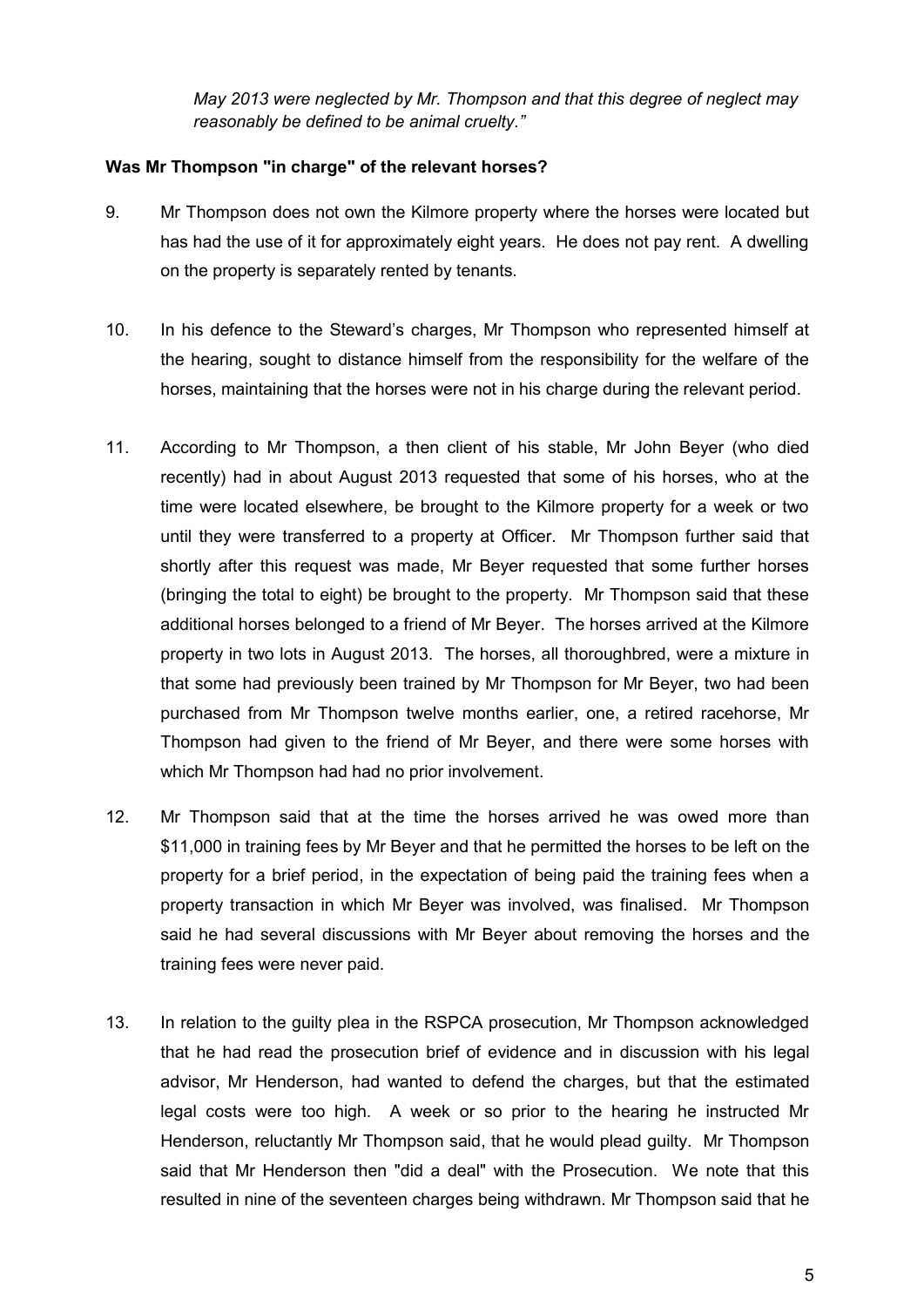*May 2013 were neglected by Mr. Thompson and that this degree of neglect may reasonably be defined to be animal cruelty."*

### **Was Mr Thompson "in charge" of the relevant horses?**

- 9. Mr Thompson does not own the Kilmore property where the horses were located but has had the use of it for approximately eight years. He does not pay rent. A dwelling on the property is separately rented by tenants.
- 10. In his defence to the Steward's charges, Mr Thompson who represented himself at the hearing, sought to distance himself from the responsibility for the welfare of the horses, maintaining that the horses were not in his charge during the relevant period.
- 11. According to Mr Thompson, a then client of his stable, Mr John Beyer (who died recently) had in about August 2013 requested that some of his horses, who at the time were located elsewhere, be brought to the Kilmore property for a week or two until they were transferred to a property at Officer. Mr Thompson further said that shortly after this request was made, Mr Beyer requested that some further horses (bringing the total to eight) be brought to the property. Mr Thompson said that these additional horses belonged to a friend of Mr Beyer. The horses arrived at the Kilmore property in two lots in August 2013. The horses, all thoroughbred, were a mixture in that some had previously been trained by Mr Thompson for Mr Beyer, two had been purchased from Mr Thompson twelve months earlier, one, a retired racehorse, Mr Thompson had given to the friend of Mr Beyer, and there were some horses with which Mr Thompson had had no prior involvement.
- 12. Mr Thompson said that at the time the horses arrived he was owed more than \$11,000 in training fees by Mr Beyer and that he permitted the horses to be left on the property for a brief period, in the expectation of being paid the training fees when a property transaction in which Mr Beyer was involved, was finalised. Mr Thompson said he had several discussions with Mr Beyer about removing the horses and the training fees were never paid.
- 13. In relation to the guilty plea in the RSPCA prosecution, Mr Thompson acknowledged that he had read the prosecution brief of evidence and in discussion with his legal advisor, Mr Henderson, had wanted to defend the charges, but that the estimated legal costs were too high. A week or so prior to the hearing he instructed Mr Henderson, reluctantly Mr Thompson said, that he would plead guilty. Mr Thompson said that Mr Henderson then "did a deal" with the Prosecution. We note that this resulted in nine of the seventeen charges being withdrawn. Mr Thompson said that he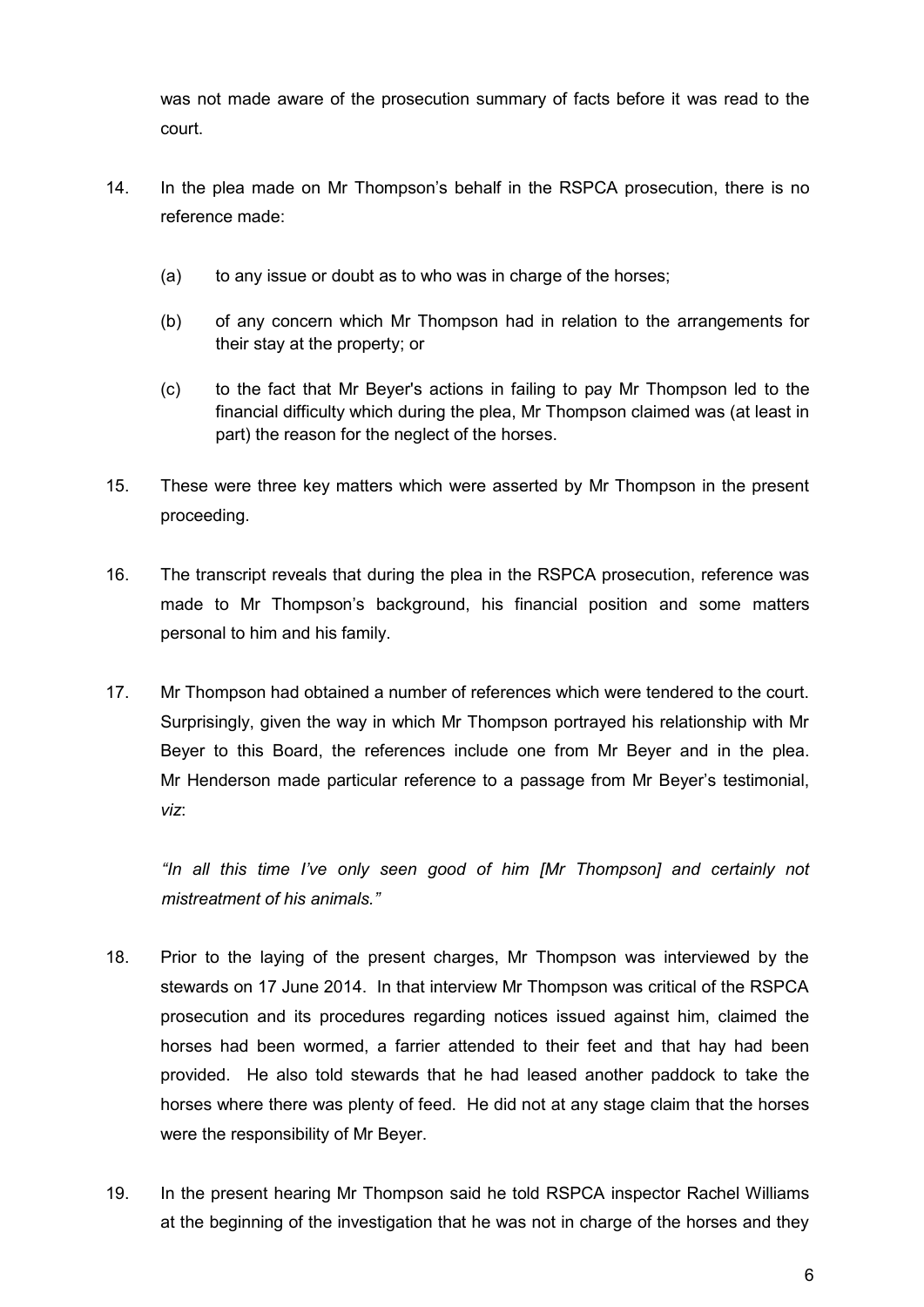was not made aware of the prosecution summary of facts before it was read to the court.

- 14. In the plea made on Mr Thompson's behalf in the RSPCA prosecution, there is no reference made:
	- (a) to any issue or doubt as to who was in charge of the horses;
	- (b) of any concern which Mr Thompson had in relation to the arrangements for their stay at the property; or
	- (c) to the fact that Mr Beyer's actions in failing to pay Mr Thompson led to the financial difficulty which during the plea, Mr Thompson claimed was (at least in part) the reason for the neglect of the horses.
- 15. These were three key matters which were asserted by Mr Thompson in the present proceeding.
- 16. The transcript reveals that during the plea in the RSPCA prosecution, reference was made to Mr Thompson's background, his financial position and some matters personal to him and his family.
- 17. Mr Thompson had obtained a number of references which were tendered to the court. Surprisingly, given the way in which Mr Thompson portrayed his relationship with Mr Beyer to this Board, the references include one from Mr Beyer and in the plea. Mr Henderson made particular reference to a passage from Mr Beyer's testimonial, *viz*:

*"In all this time I've only seen good of him [Mr Thompson] and certainly not mistreatment of his animals."*

- 18. Prior to the laying of the present charges, Mr Thompson was interviewed by the stewards on 17 June 2014. In that interview Mr Thompson was critical of the RSPCA prosecution and its procedures regarding notices issued against him, claimed the horses had been wormed, a farrier attended to their feet and that hay had been provided. He also told stewards that he had leased another paddock to take the horses where there was plenty of feed. He did not at any stage claim that the horses were the responsibility of Mr Beyer.
- 19. In the present hearing Mr Thompson said he told RSPCA inspector Rachel Williams at the beginning of the investigation that he was not in charge of the horses and they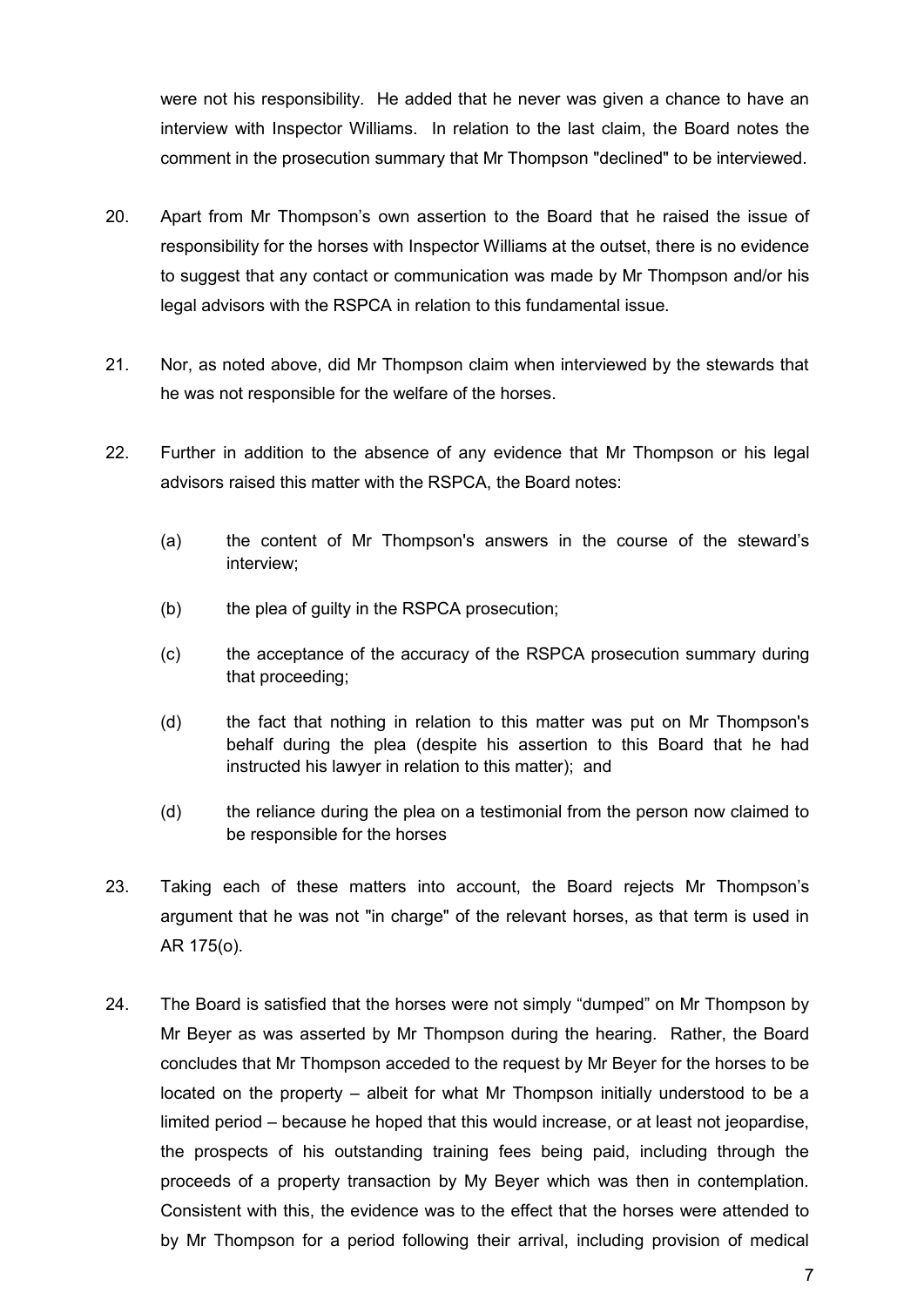were not his responsibility. He added that he never was given a chance to have an interview with Inspector Williams. In relation to the last claim, the Board notes the comment in the prosecution summary that Mr Thompson "declined" to be interviewed.

- 20. Apart from Mr Thompson's own assertion to the Board that he raised the issue of responsibility for the horses with Inspector Williams at the outset, there is no evidence to suggest that any contact or communication was made by Mr Thompson and/or his legal advisors with the RSPCA in relation to this fundamental issue.
- 21. Nor, as noted above, did Mr Thompson claim when interviewed by the stewards that he was not responsible for the welfare of the horses.
- 22. Further in addition to the absence of any evidence that Mr Thompson or his legal advisors raised this matter with the RSPCA, the Board notes:
	- (a) the content of Mr Thompson's answers in the course of the steward's interview;
	- (b) the plea of quilty in the RSPCA prosecution:
	- (c) the acceptance of the accuracy of the RSPCA prosecution summary during that proceeding;
	- (d) the fact that nothing in relation to this matter was put on Mr Thompson's behalf during the plea (despite his assertion to this Board that he had instructed his lawyer in relation to this matter); and
	- (d) the reliance during the plea on a testimonial from the person now claimed to be responsible for the horses
- 23. Taking each of these matters into account, the Board rejects Mr Thompson's argument that he was not "in charge" of the relevant horses, as that term is used in AR 175(o).
- 24. The Board is satisfied that the horses were not simply "dumped" on Mr Thompson by Mr Beyer as was asserted by Mr Thompson during the hearing. Rather, the Board concludes that Mr Thompson acceded to the request by Mr Beyer for the horses to be located on the property – albeit for what Mr Thompson initially understood to be a limited period – because he hoped that this would increase, or at least not jeopardise, the prospects of his outstanding training fees being paid, including through the proceeds of a property transaction by My Beyer which was then in contemplation. Consistent with this, the evidence was to the effect that the horses were attended to by Mr Thompson for a period following their arrival, including provision of medical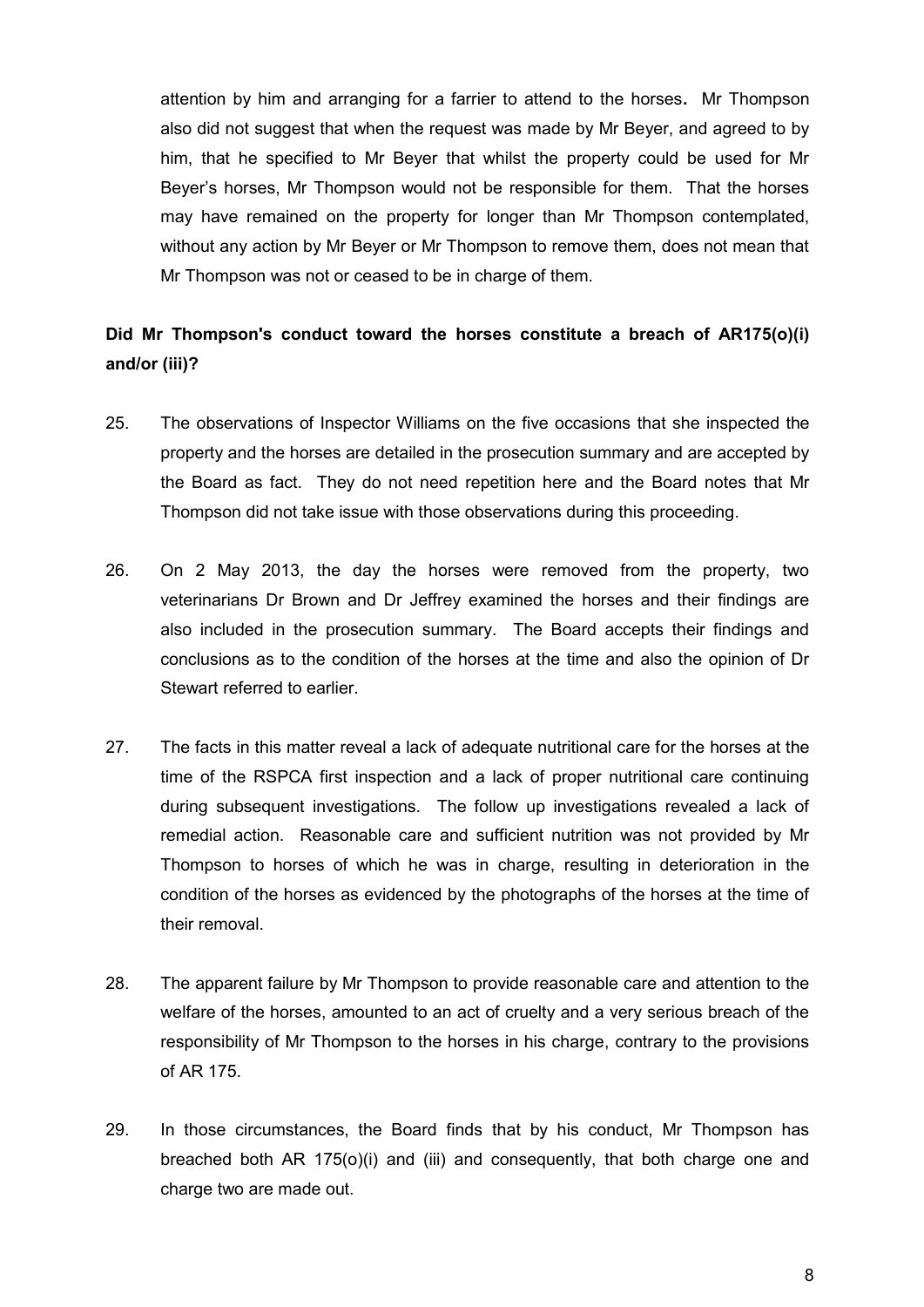attention by him and arranging for a farrier to attend to the horses**.** Mr Thompson also did not suggest that when the request was made by Mr Beyer, and agreed to by him, that he specified to Mr Beyer that whilst the property could be used for Mr Beyer's horses, Mr Thompson would not be responsible for them. That the horses may have remained on the property for longer than Mr Thompson contemplated, without any action by Mr Beyer or Mr Thompson to remove them, does not mean that Mr Thompson was not or ceased to be in charge of them.

# **Did Mr Thompson's conduct toward the horses constitute a breach of AR175(o)(i) and/or (iii)?**

- 25. The observations of Inspector Williams on the five occasions that she inspected the property and the horses are detailed in the prosecution summary and are accepted by the Board as fact. They do not need repetition here and the Board notes that Mr Thompson did not take issue with those observations during this proceeding.
- 26. On 2 May 2013, the day the horses were removed from the property, two veterinarians Dr Brown and Dr Jeffrey examined the horses and their findings are also included in the prosecution summary. The Board accepts their findings and conclusions as to the condition of the horses at the time and also the opinion of Dr Stewart referred to earlier.
- 27. The facts in this matter reveal a lack of adequate nutritional care for the horses at the time of the RSPCA first inspection and a lack of proper nutritional care continuing during subsequent investigations. The follow up investigations revealed a lack of remedial action. Reasonable care and sufficient nutrition was not provided by Mr Thompson to horses of which he was in charge, resulting in deterioration in the condition of the horses as evidenced by the photographs of the horses at the time of their removal.
- 28. The apparent failure by Mr Thompson to provide reasonable care and attention to the welfare of the horses, amounted to an act of cruelty and a very serious breach of the responsibility of Mr Thompson to the horses in his charge, contrary to the provisions of AR 175.
- 29. In those circumstances, the Board finds that by his conduct, Mr Thompson has breached both AR 175(o)(i) and (iii) and consequently, that both charge one and charge two are made out.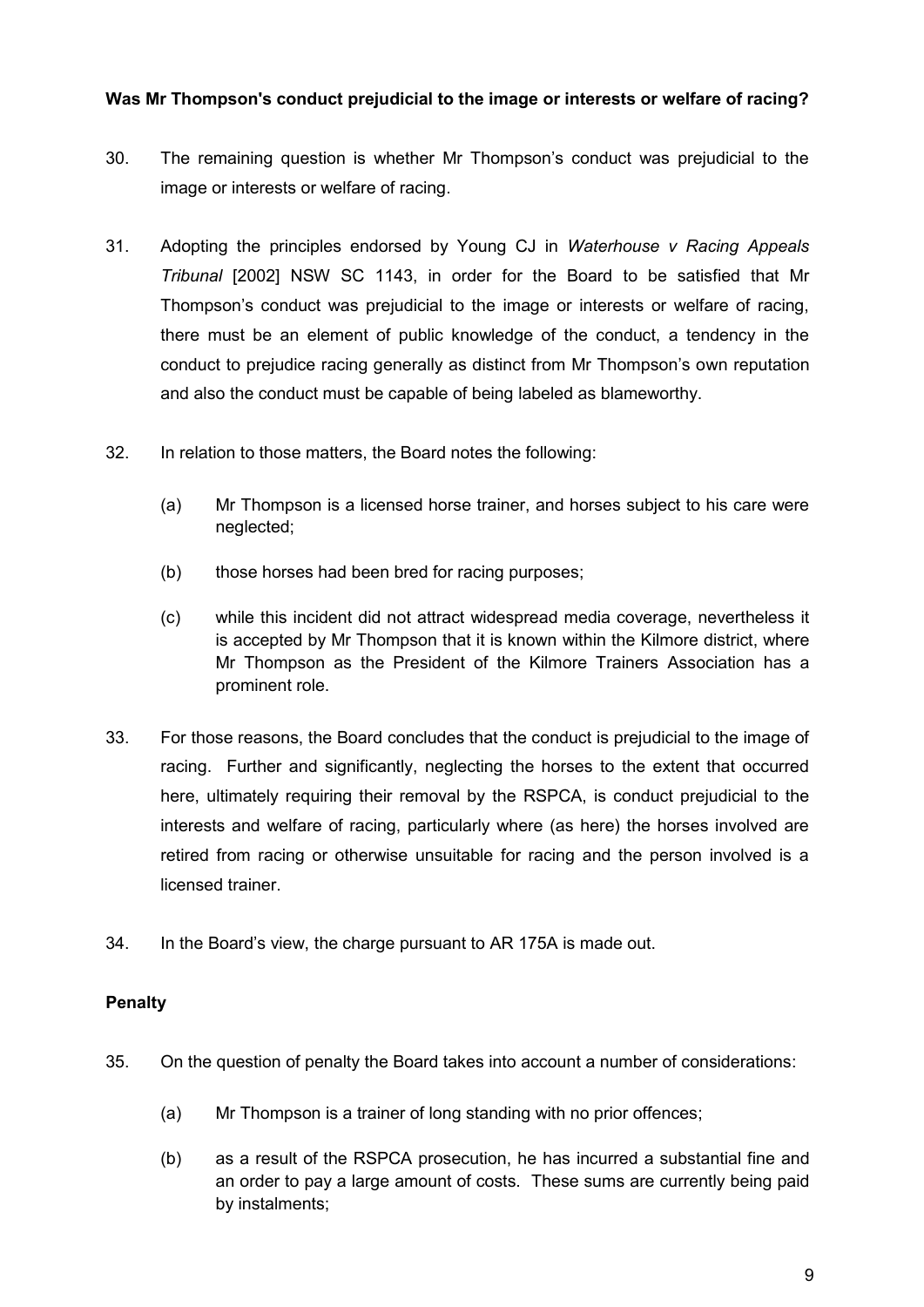## **Was Mr Thompson's conduct prejudicial to the image or interests or welfare of racing?**

- 30. The remaining question is whether Mr Thompson's conduct was prejudicial to the image or interests or welfare of racing.
- 31. Adopting the principles endorsed by Young CJ in *Waterhouse v Racing Appeals Tribunal* [2002] NSW SC 1143, in order for the Board to be satisfied that Mr Thompson's conduct was prejudicial to the image or interests or welfare of racing, there must be an element of public knowledge of the conduct, a tendency in the conduct to prejudice racing generally as distinct from Mr Thompson's own reputation and also the conduct must be capable of being labeled as blameworthy.
- 32. In relation to those matters, the Board notes the following:
	- (a) Mr Thompson is a licensed horse trainer, and horses subject to his care were neglected;
	- (b) those horses had been bred for racing purposes;
	- (c) while this incident did not attract widespread media coverage, nevertheless it is accepted by Mr Thompson that it is known within the Kilmore district, where Mr Thompson as the President of the Kilmore Trainers Association has a prominent role.
- 33. For those reasons, the Board concludes that the conduct is prejudicial to the image of racing. Further and significantly, neglecting the horses to the extent that occurred here, ultimately requiring their removal by the RSPCA, is conduct prejudicial to the interests and welfare of racing, particularly where (as here) the horses involved are retired from racing or otherwise unsuitable for racing and the person involved is a licensed trainer.
- 34. In the Board's view, the charge pursuant to AR 175A is made out.

## **Penalty**

- 35. On the question of penalty the Board takes into account a number of considerations:
	- (a) Mr Thompson is a trainer of long standing with no prior offences;
	- (b) as a result of the RSPCA prosecution, he has incurred a substantial fine and an order to pay a large amount of costs. These sums are currently being paid by instalments;